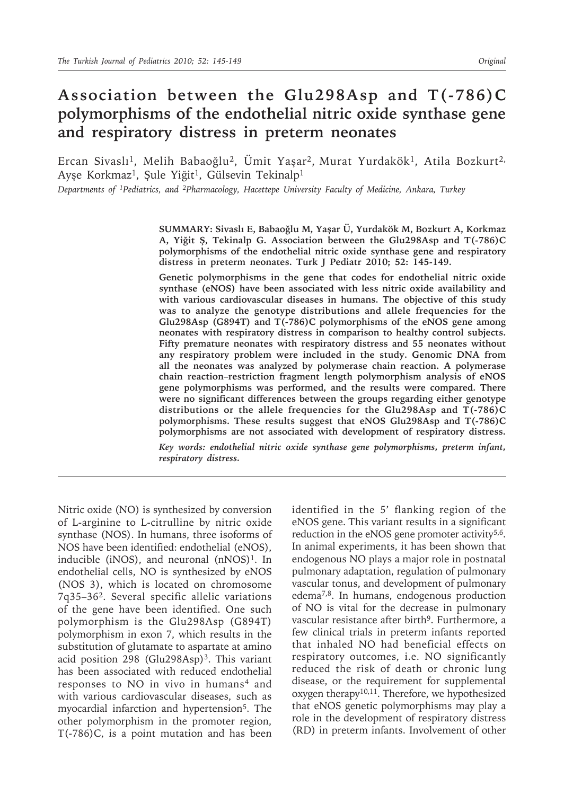# **Association between the Glu298Asp and T(-786)C polymorphisms of the endothelial nitric oxide synthase gene and respiratory distress in preterm neonates**

Ercan Sivaslı<sup>1</sup>, Melih Babaoğlu<sup>2</sup>, Ümit Yaşar<sup>2</sup>, Murat Yurdakök<sup>1</sup>, Atila Bozkurt<sup>2,</sup> Ayşe Korkmaz<sup>1</sup>, Şule Yiğit<sup>1</sup>, Gülsevin Tekinalp<sup>1</sup>

*Departments of 1Pediatrics, and 2Pharmacology, Hacettepe University Faculty of Medicine, Ankara, Turkey*

**SUMMARY: Sivaslı E, Babaoğlu M, Yaşar Ü, Yurdakök M, Bozkurt A, Korkmaz A, Yiğit Ş, Tekinalp G. Association between the Glu298Asp and T(-786)C polymorphisms of the endothelial nitric oxide synthase gene and respiratory distress in preterm neonates. Turk J Pediatr 2010; 52: 145-149.**

**Genetic polymorphisms in the gene that codes for endothelial nitric oxide synthase (eNOS) have been associated with less nitric oxide availability and with various cardiovascular diseases in humans. The objective of this study was to analyze the genotype distributions and allele frequencies for the Glu298Asp (G894T) and T(-786)C polymorphisms of the eNOS gene among neonates with respiratory distress in comparison to healthy control subjects. Fifty premature neonates with respiratory distress and 55 neonates without any respiratory problem were included in the study. Genomic DNA from all the neonates was analyzed by polymerase chain reaction. A polymerase chain reaction–restriction fragment length polymorphism analysis of eNOS gene polymorphisms was performed, and the results were compared. There were no significant differences between the groups regarding either genotype distributions or the allele frequencies for the Glu298Asp and T(-786)C polymorphisms. These results suggest that eNOS Glu298Asp and T(-786)C polymorphisms are not associated with development of respiratory distress.**

*Key words: endothelial nitric oxide synthase gene polymorphisms, preterm infant, respiratory distress.* 

Nitric oxide (NO) is synthesized by conversion of L-arginine to L-citrulline by nitric oxide synthase (NOS). In humans, three isoforms of NOS have been identified: endothelial (eNOS), inducible (iNOS), and neuronal  $(nNOS)^1$ . In endothelial cells, NO is synthesized by eNOS (NOS 3), which is located on chromosome 7q35–362. Several specific allelic variations of the gene have been identified. One such polymorphism is the Glu298Asp (G894T) polymorphism in exon 7, which results in the substitution of glutamate to aspartate at amino acid position 298 (Glu298Asp)<sup>3</sup>. This variant has been associated with reduced endothelial responses to NO in vivo in humans<sup>4</sup> and with various cardiovascular diseases, such as myocardial infarction and hypertension<sup>5</sup>. The other polymorphism in the promoter region, T(-786)C, is a point mutation and has been

identified in the 5' flanking region of the eNOS gene. This variant results in a significant reduction in the eNOS gene promoter activity<sup>5,6</sup>. In animal experiments, it has been shown that endogenous NO plays a major role in postnatal pulmonary adaptation, regulation of pulmonary vascular tonus, and development of pulmonary edema7,8. In humans, endogenous production of NO is vital for the decrease in pulmonary vascular resistance after birth<sup>9</sup>. Furthermore, a few clinical trials in preterm infants reported that inhaled NO had beneficial effects on respiratory outcomes, i.e. NO significantly reduced the risk of death or chronic lung disease, or the requirement for supplemental oxygen therapy<sup>10,11</sup>. Therefore, we hypothesized that eNOS genetic polymorphisms may play a role in the development of respiratory distress (RD) in preterm infants. Involvement of other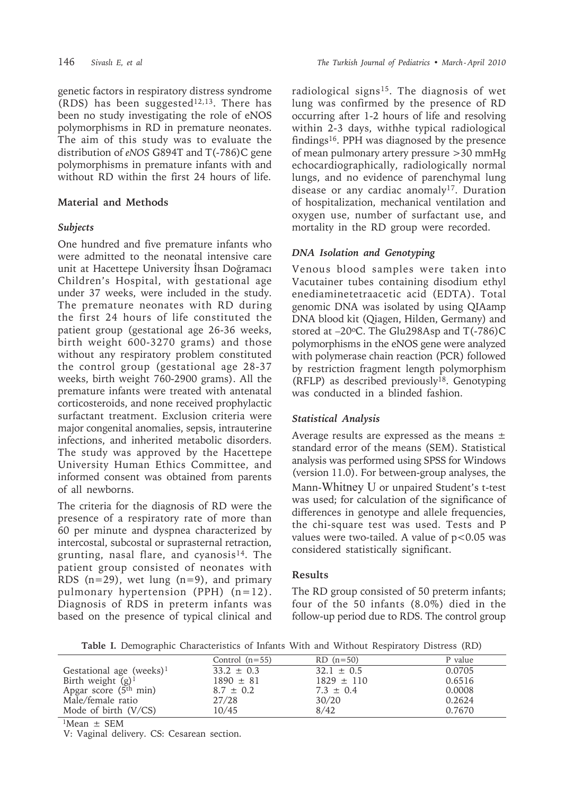genetic factors in respiratory distress syndrome (RDS) has been suggested $12,13$ . There has been no study investigating the role of eNOS polymorphisms in RD in premature neonates. The aim of this study was to evaluate the distribution of *eNOS* G894T and T(-786)C gene polymorphisms in premature infants with and without RD within the first 24 hours of life.

### **Material and Methods**

### *Subjects*

One hundred and five premature infants who were admitted to the neonatal intensive care unit at Hacettepe University İhsan Doğramacı Children's Hospital, with gestational age under 37 weeks, were included in the study. The premature neonates with RD during the first 24 hours of life constituted the patient group (gestational age 26-36 weeks, birth weight 600-3270 grams) and those without any respiratory problem constituted the control group (gestational age 28-37 weeks, birth weight 760-2900 grams). All the premature infants were treated with antenatal corticosteroids, and none received prophylactic surfactant treatment. Exclusion criteria were major congenital anomalies, sepsis, intrauterine infections, and inherited metabolic disorders. The study was approved by the Hacettepe University Human Ethics Committee, and informed consent was obtained from parents of all newborns.

The criteria for the diagnosis of RD were the presence of a respiratory rate of more than 60 per minute and dyspnea characterized by intercostal, subcostal or suprasternal retraction, grunting, nasal flare, and cyanosis<sup>14</sup>. The patient group consisted of neonates with RDS  $(n=29)$ , wet lung  $(n=9)$ , and primary pulmonary hypertension (PPH) (n=12). Diagnosis of RDS in preterm infants was based on the presence of typical clinical and

radiological signs<sup>15</sup>. The diagnosis of wet lung was confirmed by the presence of RD occurring after 1-2 hours of life and resolving within 2-3 days, withhe typical radiological findings16. PPH was diagnosed by the presence of mean pulmonary artery pressure >30 mmHg echocardiographically, radiologically normal lungs, and no evidence of parenchymal lung disease or any cardiac anomaly<sup>17</sup>. Duration of hospitalization, mechanical ventilation and oxygen use, number of surfactant use, and mortality in the RD group were recorded.

# *DNA Isolation and Genotyping*

Venous blood samples were taken into Vacutainer tubes containing disodium ethyl enediaminetetraacetic acid (EDTA). Total genomic DNA was isolated by using QIAamp DNA blood kit (Qiagen, Hilden, Germany) and stored at  $-20$ <sup>o</sup>C. The Glu298Asp and T(-786)C polymorphisms in the eNOS gene were analyzed with polymerase chain reaction (PCR) followed by restriction fragment length polymorphism  $(RFLP)$  as described previously<sup>18</sup>. Genotyping was conducted in a blinded fashion.

# *Statistical Analysis*

Average results are expressed as the means  $\pm$ standard error of the means (SEM). Statistical analysis was performed using SPSS for Windows (version 11.0). For between-group analyses, the Mann-Whitney U or unpaired Student's t-test was used; for calculation of the significance of differences in genotype and allele frequencies, the chi-square test was used. Tests and P values were two-tailed. A value of  $p < 0.05$  was considered statistically significant.

#### **Results**

The RD group consisted of 50 preterm infants; four of the 50 infants (8.0%) died in the follow-up period due to RDS. The control group

**Table I.** Demographic Characteristics of Infants With and Without Respiratory Distress (RD)

|                             | Control $(n=55)$ | $RD$ (n=50)    | P value |
|-----------------------------|------------------|----------------|---------|
| Gestational age (weeks) $1$ | $33.2 \pm 0.3$   | $32.1 \pm 0.5$ | 0.0705  |
| Birth weight $(g)^1$        | $1890 \pm 81$    | $1829 \pm 110$ | 0.6516  |
| Apgar score $(5th min)$     | $8.7 \pm 0.2$    | $7.3 \pm 0.4$  | 0.0008  |
| Male/female ratio           | 27/28            | 30/20          | 0.2624  |
| Mode of birth $(V/CS)$      | 10/45            | 8/42           | 0.7670  |

 $1$ Mean  $\pm$  SEM

V: Vaginal delivery. CS: Cesarean section.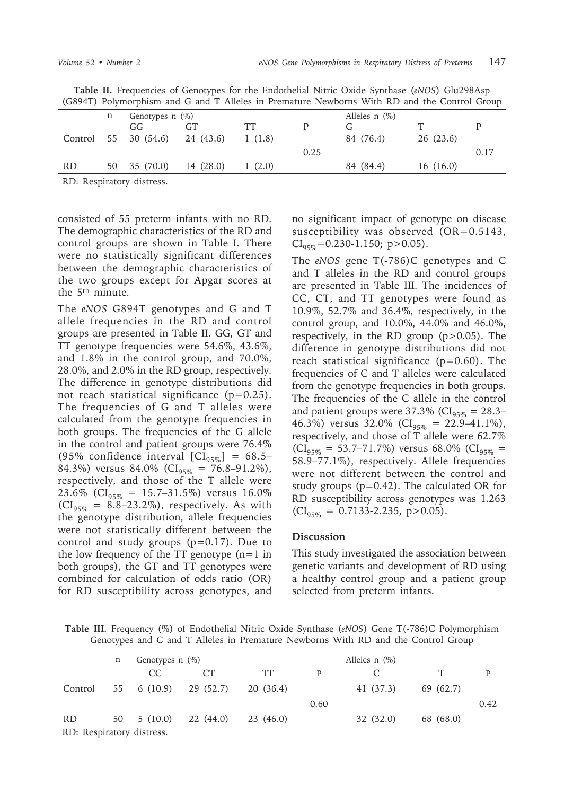| (G8941) Polymorphism and G and I Alleles in Premature Newborns With RD and the Control Group |    |                      |           |        |                    |           |          |      |
|----------------------------------------------------------------------------------------------|----|----------------------|-----------|--------|--------------------|-----------|----------|------|
|                                                                                              | n  | Genotypes $n$ (%)    |           |        | Alleles $n$ $(\%)$ |           |          |      |
|                                                                                              |    | GG                   | GT        | TT     |                    |           |          |      |
|                                                                                              |    | Control 55 30 (54.6) | 24 (43.6) | 1(1.8) |                    | 84 (76.4) | 26(23.6) |      |
|                                                                                              |    |                      |           |        | 0.25               |           |          | 0.17 |
| RD.                                                                                          | 50 | 35 (70.0)            | 14 (28.0) | 1(2.0) |                    | 84 (84.4) | 16(16.0) |      |
|                                                                                              |    |                      |           |        |                    |           |          |      |

**Table II.** Frequencies of Genotypes for the Endothelial Nitric Oxide Synthase (*eNOS*) Glu298Asp (G894T) Polymorphism and G and T Alleles in Premature Newborns With RD and the Control Group

RD: Respiratory distress.

consisted of 55 preterm infants with no RD. The demographic characteristics of the RD and control groups are shown in Table I. There were no statistically significant differences between the demographic characteristics of the two groups except for Apgar scores at the 5<sup>th</sup> minute.

The *eNOS* G894T genotypes and G and T allele frequencies in the RD and control groups are presented in Table II. GG, GT and TT genotype frequencies were 54.6%, 43.6%, and 1.8% in the control group, and 70.0%, 28.0%, and 2.0% in the RD group, respectively. The difference in genotype distributions did not reach statistical significance (p=0.25). The frequencies of G and T alleles were calculated from the genotype frequencies in both groups. The frequencies of the G allele in the control and patient groups were 76.4% (95% confidence interval  $\text{[CI}_{95\%}\text{]} = 68.5-$ 84.3%) versus 84.0% ( $CI_{95\%} = 76.8 - 91.2\%$ ), respectively, and those of the T allele were 23.6% ( $CI_{95\%}$  = 15.7–31.5%) versus 16.0%  $(Cl_{95\%} = 8.8-23.2\%)$ , respectively. As with the genotype distribution, allele frequencies were not statistically different between the control and study groups  $(p=0.17)$ . Due to the low frequency of the TT genotype  $(n=1$  in both groups), the GT and TT genotypes were combined for calculation of odds ratio (OR) for RD susceptibility across genotypes, and

no significant impact of genotype on disease susceptibility was observed  $(OR=0.5143,$  $CI_{\text{avg}} = 0.230 - 1.150$ ; p > 0.05).

The *eNOS* gene T(-786)C genotypes and C and T alleles in the RD and control groups are presented in Table III. The incidences of CC, CT, and TT genotypes were found as 10.9%, 52.7% and 36.4%, respectively, in the control group, and 10.0%, 44.0% and 46.0%, respectively, in the RD group (p>0.05). The difference in genotype distributions did not reach statistical significance  $(p=0.60)$ . The frequencies of C and T alleles were calculated from the genotype frequencies in both groups. The frequencies of the C allele in the control and patient groups were 37.3% ( $CI_{95\%} = 28.3-$ 46.3%) versus 32.0% ( $CI<sub>95%</sub> = 22.9-41.1%$ ), respectively, and those of T allele were 62.7%  $(Cl_{95\%} = 53.7–71.7\%)$  versus 68.0%  $(Cl_{95\%} =$ 58.9–77.1%), respectively. Allele frequencies were not different between the control and study groups (p=0.42). The calculated OR for RD susceptibility across genotypes was 1.263  $(Cl_{95\%} = 0.7133 - 2.235, p > 0.05).$ 

#### **Discussion**

This study investigated the association between genetic variants and development of RD using a healthy control group and a patient group selected from preterm infants.

**Table III.** Frequency (%) of Endothelial Nitric Oxide Synthase (*eNOS*) Gene T(-786)C Polymorphism Genotypes and C and T Alleles in Premature Newborns With RD and the Control Group

|                           | n  | Genotypes $n$ $(\%)$ |                 | Alleles $n$ $(\%)$ |      |           |           |      |
|---------------------------|----|----------------------|-----------------|--------------------|------|-----------|-----------|------|
|                           |    | CC.                  | CT <sup>-</sup> | TТ                 | P    |           |           |      |
| Control                   | 55 | 6 (10.9)             | 29 (52.7)       | 20 (36.4)          |      | 41 (37.3) | 69 (62.7) |      |
|                           |    |                      |                 |                    | 0.60 |           |           | 0.42 |
| <b>RD</b>                 | 50 | 5(10.0)              | 22 (44.0)       | 23 (46.0)          |      | 32 (32.0) | 68 (68.0) |      |
| RD: Respiratory distress. |    |                      |                 |                    |      |           |           |      |

RD: Respiratory distress.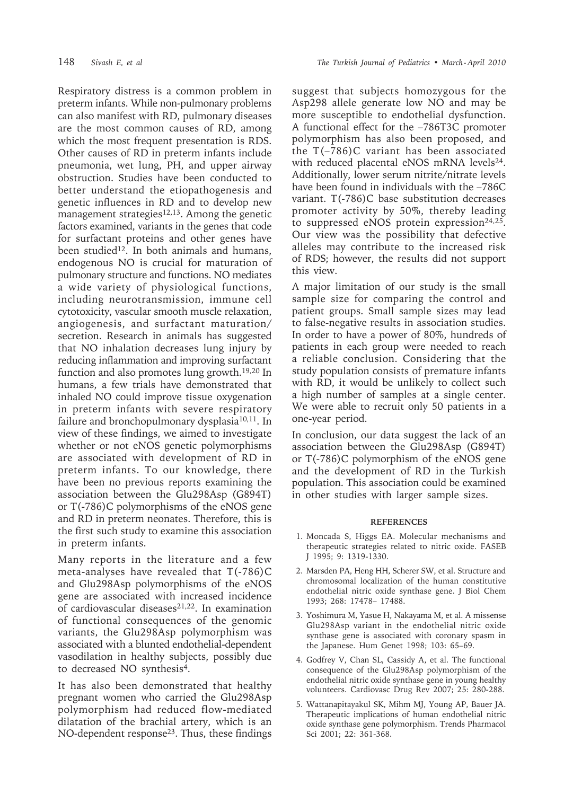Respiratory distress is a common problem in preterm infants. While non-pulmonary problems can also manifest with RD, pulmonary diseases are the most common causes of RD, among which the most frequent presentation is RDS. Other causes of RD in preterm infants include pneumonia, wet lung, PH, and upper airway obstruction. Studies have been conducted to better understand the etiopathogenesis and genetic influences in RD and to develop new management strategies $12,13$ . Among the genetic factors examined, variants in the genes that code for surfactant proteins and other genes have been studied<sup>12</sup>. In both animals and humans, endogenous NO is crucial for maturation of pulmonary structure and functions. NO mediates a wide variety of physiological functions, including neurotransmission, immune cell cytotoxicity, vascular smooth muscle relaxation, angiogenesis, and surfactant maturation/ secretion. Research in animals has suggested that NO inhalation decreases lung injury by reducing inflammation and improving surfactant function and also promotes lung growth.19,20 In humans, a few trials have demonstrated that inhaled NO could improve tissue oxygenation in preterm infants with severe respiratory failure and bronchopulmonary dysplasia<sup>10,11</sup>. In view of these findings, we aimed to investigate whether or not eNOS genetic polymorphisms are associated with development of RD in preterm infants. To our knowledge, there have been no previous reports examining the association between the Glu298Asp (G894T) or T(-786)C polymorphisms of the eNOS gene and RD in preterm neonates. Therefore, this is the first such study to examine this association in preterm infants.

Many reports in the literature and a few meta-analyses have revealed that T(-786)C and Glu298Asp polymorphisms of the eNOS gene are associated with increased incidence of cardiovascular diseases $21,22$ . In examination of functional consequences of the genomic variants, the Glu298Asp polymorphism was associated with a blunted endothelial-dependent vasodilation in healthy subjects, possibly due to decreased NO synthesis<sup>4</sup>.

It has also been demonstrated that healthy pregnant women who carried the Glu298Asp polymorphism had reduced flow-mediated dilatation of the brachial artery, which is an NO-dependent response<sup>23</sup>. Thus, these findings

suggest that subjects homozygous for the Asp298 allele generate low NO and may be more susceptible to endothelial dysfunction. A functional effect for the –786T3C promoter polymorphism has also been proposed, and the T(–786)C variant has been associated with reduced placental eNOS mRNA levels<sup>24</sup>. Additionally, lower serum nitrite/nitrate levels have been found in individuals with the –786C variant. T(-786)C base substitution decreases promoter activity by 50%, thereby leading to suppressed eNOS protein expression $24,25$ . Our view was the possibility that defective alleles may contribute to the increased risk of RDS; however, the results did not support this view.

A major limitation of our study is the small sample size for comparing the control and patient groups. Small sample sizes may lead to false-negative results in association studies. In order to have a power of 80%, hundreds of patients in each group were needed to reach a reliable conclusion. Considering that the study population consists of premature infants with RD, it would be unlikely to collect such a high number of samples at a single center. We were able to recruit only 50 patients in a one-year period.

In conclusion, our data suggest the lack of an association between the Glu298Asp (G894T) or T(-786)C polymorphism of the eNOS gene and the development of RD in the Turkish population. This association could be examined in other studies with larger sample sizes.

#### **REFERENCES**

- 1. Moncada S, Higgs EA. Molecular mechanisms and therapeutic strategies related to nitric oxide. FASEB J 1995; 9: 1319-1330.
- 2. Marsden PA, Heng HH, Scherer SW, et al. Structure and chromosomal localization of the human constitutive endothelial nitric oxide synthase gene. J Biol Chem 1993; 268: 17478– 17488.
- 3. Yoshimura M, Yasue H, Nakayama M, et al. A missense Glu298Asp variant in the endothelial nitric oxide synthase gene is associated with coronary spasm in the Japanese. Hum Genet 1998; 103: 65–69.
- 4. Godfrey V, Chan SL, Cassidy A, et al. The functional consequence of the Glu298Asp polymorphism of the endothelial nitric oxide synthase gene in young healthy volunteers. Cardiovasc Drug Rev 2007; 25: 280-288.
- 5. Wattanapitayakul SK, Mihm MJ, Young AP, Bauer JA. Therapeutic implications of human endothelial nitric oxide synthase gene polymorphism. Trends Pharmacol Sci 2001; 22: 361-368.